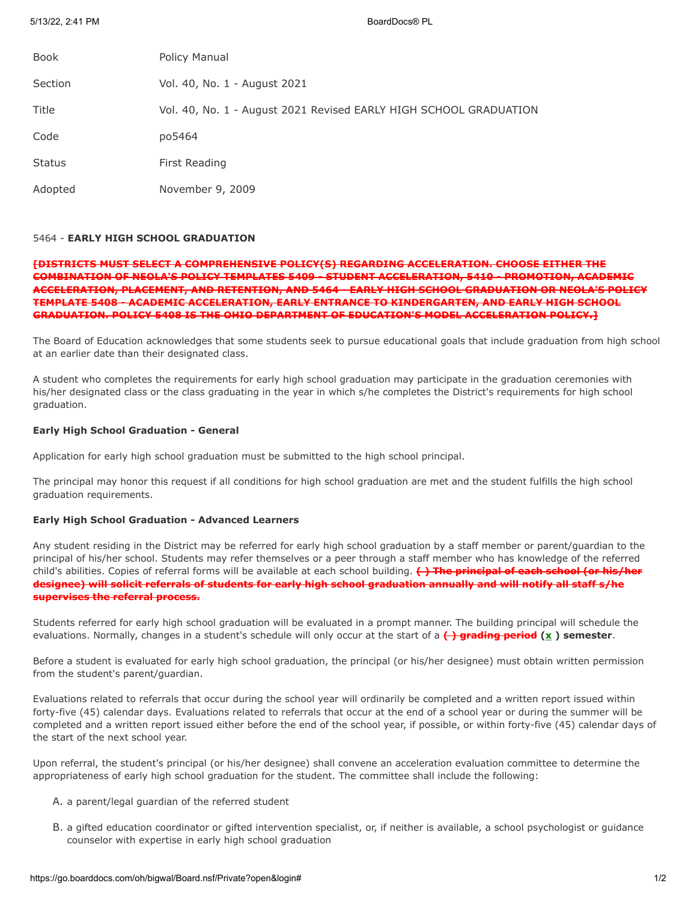5/13/22, 2:41 PM BoardDocs® PL

| <b>Book</b>   | Policy Manual                                                     |
|---------------|-------------------------------------------------------------------|
| Section       | Vol. 40, No. 1 - August 2021                                      |
| Title         | Vol. 40, No. 1 - August 2021 Revised EARLY HIGH SCHOOL GRADUATION |
| Code          | po5464                                                            |
| <b>Status</b> | First Reading                                                     |
| Adopted       | November 9, 2009                                                  |

### 5464 - **EARLY HIGH SCHOOL GRADUATION**

# **[DISTRICTS MUST SELECT A COMPREHENSIVE POLICY(S) REGARDING ACCELERATION. CHOOSE EITHER THE COMBINATION OF NEOLA'S POLICY TEMPLATES 5409 - STUDENT ACCELERATION, 5410 - PROMOTION, ACADEMIC ACCELERATION, PLACEMENT, AND RETENTION, AND 5464 - EARLY HIGH SCHOOL GRADUATION OR NEOLA'S POLICY TEMPLATE 5408 - ACADEMIC ACCELERATION, EARLY ENTRANCE TO KINDERGARTEN, AND EARLY HIGH SCHOOL GRADUATION. POLICY 5408 IS THE OHIO DEPARTMENT OF EDUCATION'S MODEL ACCELERATION POLICY.]**

The Board of Education acknowledges that some students seek to pursue educational goals that include graduation from high school at an earlier date than their designated class.

A student who completes the requirements for early high school graduation may participate in the graduation ceremonies with his/her designated class or the class graduating in the year in which s/he completes the District's requirements for high school graduation.

### **Early High School Graduation - General**

Application for early high school graduation must be submitted to the high school principal.

The principal may honor this request if all conditions for high school graduation are met and the student fulfills the high school graduation requirements.

## **Early High School Graduation - Advanced Learners**

Any student residing in the District may be referred for early high school graduation by a staff member or parent/guardian to the principal of his/her school. Students may refer themselves or a peer through a staff member who has knowledge of the referred child's abilities. Copies of referral forms will be available at each school building. **( ) The principal of each school (or his/her designee) will solicit referrals of students for early high school graduation annually and will notify all staff s/he supervises the referral process.**

Students referred for early high school graduation will be evaluated in a prompt manner. The building principal will schedule the evaluations. Normally, changes in a student's schedule will only occur at the start of a  $\leftrightarrow$  grading period (x) semester.

Before a student is evaluated for early high school graduation, the principal (or his/her designee) must obtain written permission from the student's parent/guardian.

Evaluations related to referrals that occur during the school year will ordinarily be completed and a written report issued within forty-five (45) calendar days. Evaluations related to referrals that occur at the end of a school year or during the summer will be completed and a written report issued either before the end of the school year, if possible, or within forty-five (45) calendar days of the start of the next school year.

Upon referral, the student's principal (or his/her designee) shall convene an acceleration evaluation committee to determine the appropriateness of early high school graduation for the student. The committee shall include the following:

- A. a parent/legal guardian of the referred student
- B. a gifted education coordinator or gifted intervention specialist, or, if neither is available, a school psychologist or guidance counselor with expertise in early high school graduation